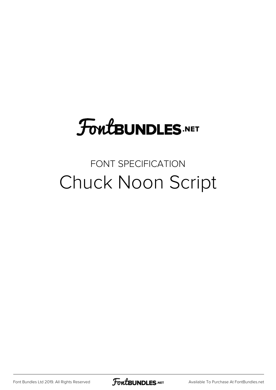# **FoutBUNDLES.NET**

### FONT SPECIFICATION Chuck Noon Script

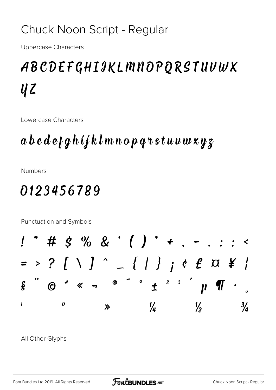#### Chuck Noon Script - Regular

Uppercase Characters

## ABCDEFGHIJKLMNOPQRSTUVWX  $\boldsymbol{U}$   $\boldsymbol{Z}$

Lowercase Characters

### abcdefghijklmnopqrstuvwxyz

Numbers

### 0123456789

Punctuation and Symbols



All Other Glyphs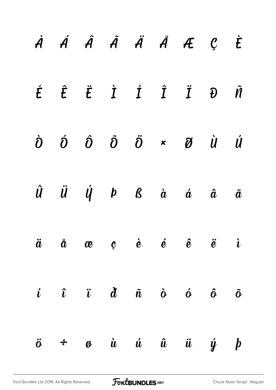|  |  |  | À Á Â Ã Ä Å Æ Ç È                                                                                                                                        |  |
|--|--|--|----------------------------------------------------------------------------------------------------------------------------------------------------------|--|
|  |  |  | $\acute{t}$ $\acute{t}$ $\ddot{t}$ $\acute{1}$ $\acute{1}$ $\ddot{1}$ $\ddot{1}$ $\ddot{0}$ $\ddot{\tilde{n}}$                                           |  |
|  |  |  | $\dot{\partial}$ $\dot{\partial}$ $\dot{\partial}$ $\ddot{\partial}$ $\ddot{\partial}$ $\star$ $\ddot{\partial}$ $\dot{\mathcal{U}}$ $\dot{\mathcal{U}}$ |  |
|  |  |  | $\hat{U}$ $\ddot{U}$ $\dot{V}$ $\dot{\theta}$ $\dot{\theta}$ $\dot{\alpha}$ $\dot{\alpha}$ $\ddot{\alpha}$ $\ddot{\alpha}$                               |  |
|  |  |  | $\ddot{a}$ $\ddot{a}$ $\alpha$ $e$ $\dot{e}$ $\dot{e}$ $\ddot{e}$ $\ddot{e}$ $\ddot{e}$                                                                  |  |
|  |  |  | $i$ $\hat{i}$ $\hat{u}$ $\hat{d}$ $\hat{n}$ $\hat{o}$ $\hat{o}$ $\hat{o}$                                                                                |  |
|  |  |  | $\ddot{o}$ $\div$ $\phi$ $\dot{u}$ $\dot{u}$ $\ddot{u}$ $\dot{u}$ $\dot{y}$ $\dot{p}$                                                                    |  |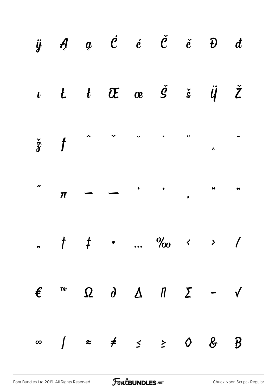|  |  | $\begin{array}{cccccccccccccc} \ddot{y} & \mathcal{A} & \mathcal{Q} & \mathcal{C} & \dot{\mathcal{C}} & \dot{\mathcal{C}} & \dot{\mathcal{C}} & \dot{\mathcal{C}} & \mathcal{D} & \mathcal{d} \end{array}$                                                                                                                      |  |  |
|--|--|---------------------------------------------------------------------------------------------------------------------------------------------------------------------------------------------------------------------------------------------------------------------------------------------------------------------------------|--|--|
|  |  | $\begin{array}{cccccccccccccc} \iota & t & t & \widetilde{c} & \alpha & \alpha & \beta & \gamma & \gamma & \gamma \end{array}$                                                                                                                                                                                                  |  |  |
|  |  | $\check{z}$ f $\sim$ $\sim$ $\sim$ $\sim$ $\sim$                                                                                                                                                                                                                                                                                |  |  |
|  |  | $\pi$ - $\cdot$ , ",                                                                                                                                                                                                                                                                                                            |  |  |
|  |  | $\frac{1}{2}$ , $\frac{1}{2}$ , $\frac{1}{2}$ , $\frac{1}{2}$ , $\frac{1}{2}$ , $\frac{1}{2}$ , $\frac{1}{2}$ , $\frac{1}{2}$ , $\frac{1}{2}$ , $\frac{1}{2}$ , $\frac{1}{2}$ , $\frac{1}{2}$ , $\frac{1}{2}$ , $\frac{1}{2}$ , $\frac{1}{2}$ , $\frac{1}{2}$ , $\frac{1}{2}$ , $\frac{1}{2}$ , $\frac{1}{2}$ , $\frac{1}{2}$ , |  |  |
|  |  | $\epsilon$ $\pi$ $\Omega$ $\partial$ $\Delta$ $\pi$ $\Sigma$ - $\sqrt{2}$                                                                                                                                                                                                                                                       |  |  |
|  |  | $\infty$ $\int$ $\approx$ $\neq$ $\leq$ $\geq$ 0 $\&$ $\frac{1}{2}$                                                                                                                                                                                                                                                             |  |  |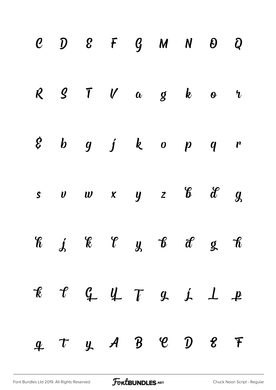|  | $C$ $D$ $E$ $F$ $G$ $M$ $N$ $D$ $Q$                                                                                                                                                                                                                                                                                                                                                                                                                                 |  |  |  |
|--|---------------------------------------------------------------------------------------------------------------------------------------------------------------------------------------------------------------------------------------------------------------------------------------------------------------------------------------------------------------------------------------------------------------------------------------------------------------------|--|--|--|
|  | $R$ $S$ $T$ $V$ $a$ $g$ $k$ $o$ $v$                                                                                                                                                                                                                                                                                                                                                                                                                                 |  |  |  |
|  | $\begin{array}{cccccccccccccc} \xi & b & g & j & k & o & p & q & r \end{array}$                                                                                                                                                                                                                                                                                                                                                                                     |  |  |  |
|  | $s$ v w x y z $6$ if g                                                                                                                                                                                                                                                                                                                                                                                                                                              |  |  |  |
|  | $\begin{array}{cccccccccccccc} \mathcal{C} & \mathcal{C} & \mathcal{C} & \mathcal{C} & \mathcal{C} & \mathcal{C} & \mathcal{C} & \mathcal{C} & \mathcal{C} & \mathcal{C} & \mathcal{C} & \mathcal{C} & \mathcal{C} & \mathcal{C} & \mathcal{C} & \mathcal{C} & \mathcal{C} & \mathcal{C} & \mathcal{C} & \mathcal{C} & \mathcal{C} & \mathcal{C} & \mathcal{C} & \mathcal{C} & \mathcal{C} & \mathcal{C} & \mathcal{C} & \mathcal{C} & \mathcal{C} & \mathcal{C} &$ |  |  |  |
|  |                                                                                                                                                                                                                                                                                                                                                                                                                                                                     |  |  |  |
|  | $4$ $\tau$ $4$ $\beta$ $8$ $\beta$ $8$ $\tau$                                                                                                                                                                                                                                                                                                                                                                                                                       |  |  |  |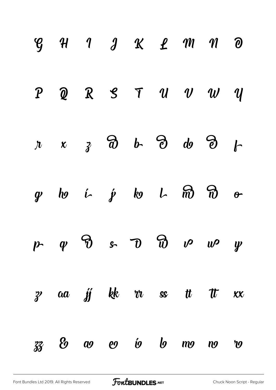|               |  |                                                       |  | $\begin{array}{ccccccccccccccccc} \mathcal{G} & \mathcal{H} & \mathcal{H} & \mathcal{I} & \mathcal{J} & \mathcal{K} & \mathcal{L} & \mathcal{M} & \mathcal{M} & \mathcal{O} \end{array}$ |              |
|---------------|--|-------------------------------------------------------|--|------------------------------------------------------------------------------------------------------------------------------------------------------------------------------------------|--------------|
| $\mathcal{P}$ |  |                                                       |  | $Q$ $R$ $S$ $T$ $U$ $U$ $U$ $U$                                                                                                                                                          |              |
|               |  | $x \times z$ $\partial$ $b$ $\partial$ $d$ $\partial$ |  |                                                                                                                                                                                          | $\mathbf{r}$ |
|               |  | g to i $j$ to $L$ $\widehat{m}$ $\widehat{n}$         |  |                                                                                                                                                                                          | $\theta$     |
|               |  |                                                       |  | p $\varphi$ $\vartheta$ s $\vartheta$ $\vartheta$ $\nu$ $\nu$                                                                                                                            |              |
|               |  |                                                       |  | z aa ji kk vr ss tt tt xx                                                                                                                                                                |              |
|               |  |                                                       |  | $33$ & $\omega$ $\omega$ $\omega$ $\omega$ $\omega$ $\omega$ $\omega$                                                                                                                    |              |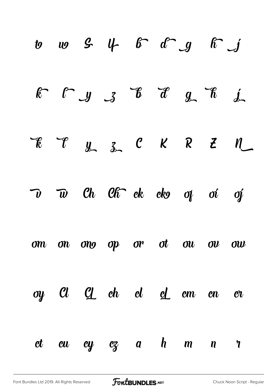|  | $x \rightarrow y$ 3 $x \rightarrow y$ $x \rightarrow z$                                                                                                                                                                                                                                                                                                                                |  |  |              |
|--|----------------------------------------------------------------------------------------------------------------------------------------------------------------------------------------------------------------------------------------------------------------------------------------------------------------------------------------------------------------------------------------|--|--|--------------|
|  |                                                                                                                                                                                                                                                                                                                                                                                        |  |  |              |
|  | $\overline{\nu}$ $\overline{w}$ $\overline{c}$ $\overline{c}$ $\overline{c}$ $\overline{c}$ $\overline{c}$ $\overline{c}$ $\overline{c}$ $\overline{c}$ $\overline{c}$ $\overline{c}$ $\overline{c}$ $\overline{c}$ $\overline{c}$ $\overline{c}$ $\overline{c}$ $\overline{c}$ $\overline{c}$ $\overline{c}$ $\overline{c}$ $\overline{c}$ $\overline{c}$ $\overline{c}$ $\overline{$ |  |  |              |
|  | om on ong op or ot ou ov ow                                                                                                                                                                                                                                                                                                                                                            |  |  |              |
|  | oy $Cl$ $Cl$ ch $cl$ $cl$ cm $en$                                                                                                                                                                                                                                                                                                                                                      |  |  | $\mathbf{C}$ |
|  | et eu ey ez a h m n r                                                                                                                                                                                                                                                                                                                                                                  |  |  |              |